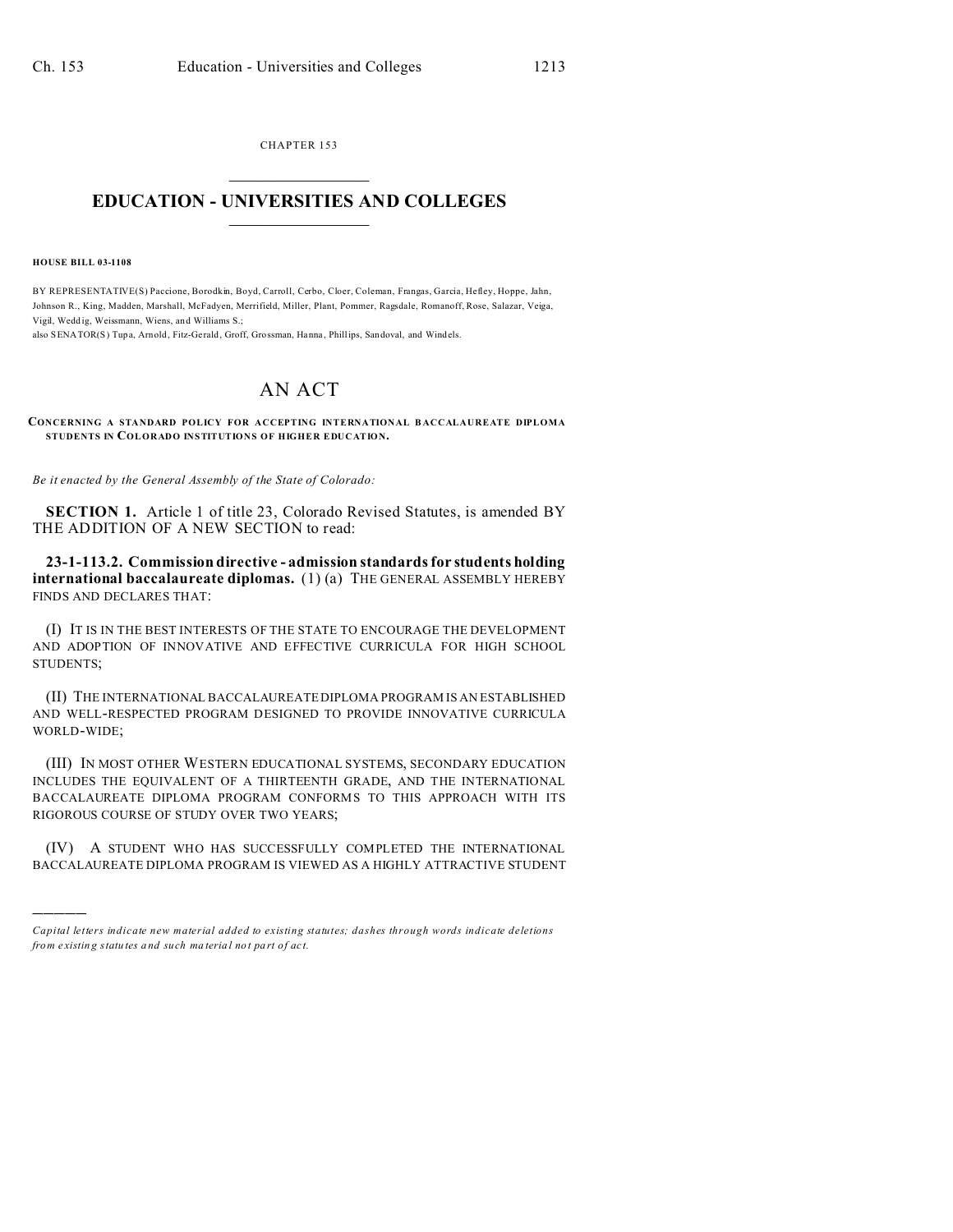CHAPTER 153  $\overline{\phantom{a}}$  , where  $\overline{\phantom{a}}$ 

## **EDUCATION - UNIVERSITIES AND COLLEGES**  $\frac{1}{2}$

**HOUSE BILL 03-1108**

)))))

BY REPRESENTATIVE(S) Paccione, Borodkin, Boyd, Carroll, Cerbo, Cloer, Coleman, Frangas, Garcia, Hefley, Hoppe, Jahn, Johnson R., King, Madden, Marshall, McFadyen, Merrifield, Miller, Plant, Pommer, Ragsdale, Romanoff, Rose, Salazar, Veiga, Vigil, Weddig, Weissmann, Wiens, and Williams S.;

also SENATOR(S) Tupa, Arnold, Fitz-Ge rald, Groff, Grossman, Hanna , Phillips, Sandoval, and Windels.

## AN ACT

**CONCERNING A STANDARD POLICY FOR ACCEPTING INTERNATIONAL B ACCALAUREATE DIPLOMA STUDENTS IN COLORADO INSTITUTIONS OF HIGHER EDUCATION.**

*Be it enacted by the General Assembly of the State of Colorado:*

**SECTION 1.** Article 1 of title 23, Colorado Revised Statutes, is amended BY THE ADDITION OF A NEW SECTION to read:

**23-1-113.2. Commission directive - admission standards for students holding international baccalaureate diplomas.** (1) (a) THE GENERAL ASSEMBLY HEREBY FINDS AND DECLARES THAT:

(I) IT IS IN THE BEST INTERESTS OF THE STATE TO ENCOURAGE THE DEVELOPMENT AND ADOPTION OF INNOVATIVE AND EFFECTIVE CURRICULA FOR HIGH SCHOOL STUDENTS;

(II) THE INTERNATIONAL BACCALAUREATE DIPLOMA PROGRAM IS AN ESTABLISHED AND WELL-RESPECTED PROGRAM DESIGNED TO PROVIDE INNOVATIVE CURRICULA WORLD-WIDE;

(III) IN MOST OTHER WESTERN EDUCATIONAL SYSTEMS, SECONDARY EDUCATION INCLUDES THE EQUIVALENT OF A THIRTEENTH GRADE, AND THE INTERNATIONAL BACCALAUREATE DIPLOMA PROGRAM CONFORMS TO THIS APPROACH WITH ITS RIGOROUS COURSE OF STUDY OVER TWO YEARS;

(IV) A STUDENT WHO HAS SUCCESSFULLY COMPLETED THE INTERNATIONAL BACCALAUREATE DIPLOMA PROGRAM IS VIEWED AS A HIGHLY ATTRACTIVE STUDENT

*Capital letters indicate new material added to existing statutes; dashes through words indicate deletions from e xistin g statu tes a nd such ma teria l no t pa rt of ac t.*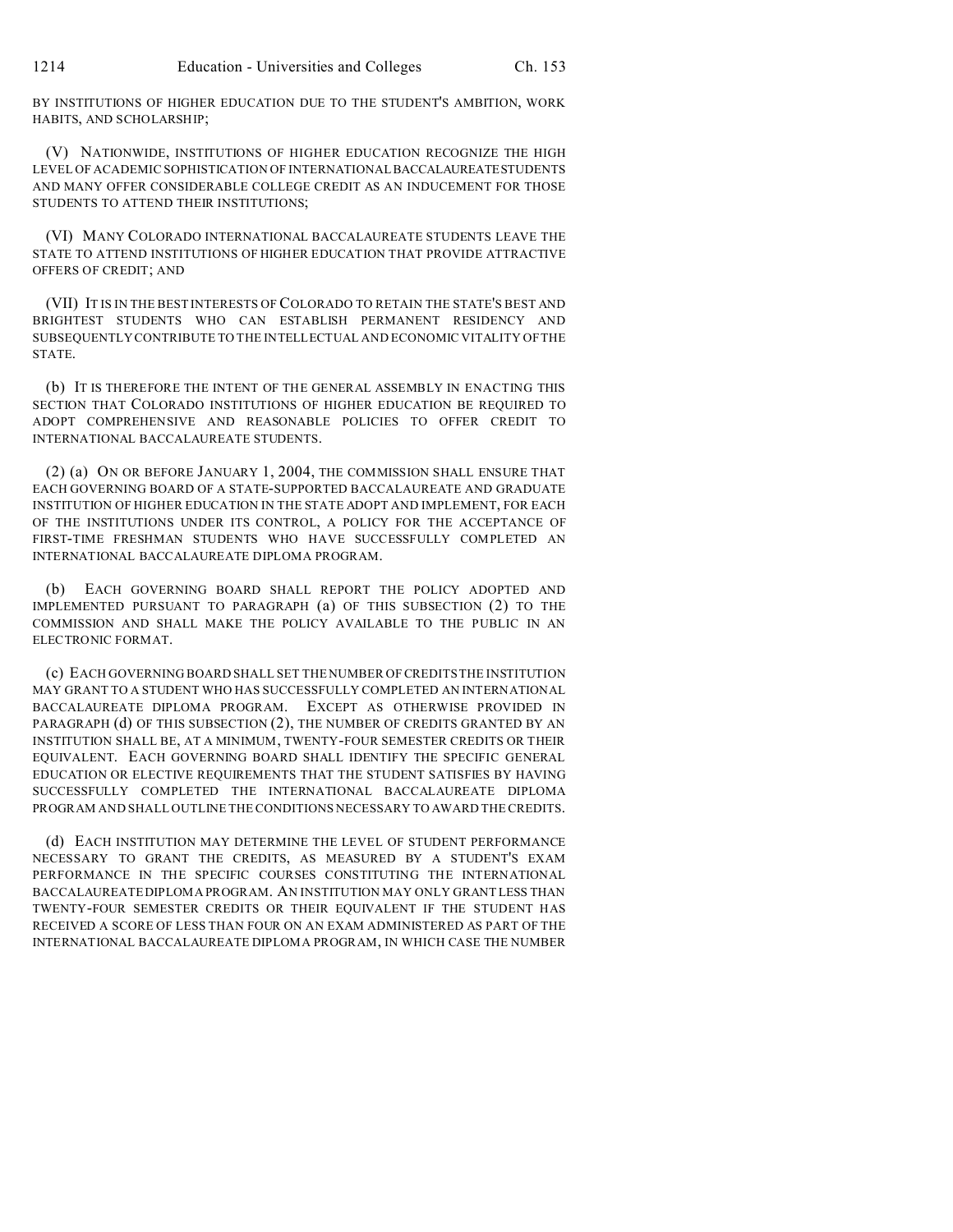BY INSTITUTIONS OF HIGHER EDUCATION DUE TO THE STUDENT'S AMBITION, WORK HABITS, AND SCHOLARSHIP;

(V) NATIONWIDE, INSTITUTIONS OF HIGHER EDUCATION RECOGNIZE THE HIGH LEVEL OF ACADEMIC SOPHISTICATION OF INTERNATIONAL BACCALAUREATESTUDENTS AND MANY OFFER CONSIDERABLE COLLEGE CREDIT AS AN INDUCEMENT FOR THOSE STUDENTS TO ATTEND THEIR INSTITUTIONS;

(VI) MANY COLORADO INTERNATIONAL BACCALAUREATE STUDENTS LEAVE THE STATE TO ATTEND INSTITUTIONS OF HIGHER EDUCATION THAT PROVIDE ATTRACTIVE OFFERS OF CREDIT; AND

(VII) IT IS IN THE BEST INTERESTS OF COLORADO TO RETAIN THE STATE'S BEST AND BRIGHTEST STUDENTS WHO CAN ESTABLISH PERMANENT RESIDENCY AND SUBSEQUENTLY CONTRIBUTE TO THE INTELLECTUAL AND ECONOMIC VITALITY OF THE STATE.

(b) IT IS THEREFORE THE INTENT OF THE GENERAL ASSEMBLY IN ENACTING THIS SECTION THAT COLORADO INSTITUTIONS OF HIGHER EDUCATION BE REQUIRED TO ADOPT COMPREHENSIVE AND REASONABLE POLICIES TO OFFER CREDIT TO INTERNATIONAL BACCALAUREATE STUDENTS.

(2) (a) ON OR BEFORE JANUARY 1, 2004, THE COMMISSION SHALL ENSURE THAT EACH GOVERNING BOARD OF A STATE-SUPPORTED BACCALAUREATE AND GRADUATE INSTITUTION OF HIGHER EDUCATION IN THE STATE ADOPT AND IMPLEMENT, FOR EACH OF THE INSTITUTIONS UNDER ITS CONTROL, A POLICY FOR THE ACCEPTANCE OF FIRST-TIME FRESHMAN STUDENTS WHO HAVE SUCCESSFULLY COMPLETED AN INTERNATIONAL BACCALAUREATE DIPLOMA PROGRAM.

(b) EACH GOVERNING BOARD SHALL REPORT THE POLICY ADOPTED AND IMPLEMENTED PURSUANT TO PARAGRAPH (a) OF THIS SUBSECTION (2) TO THE COMMISSION AND SHALL MAKE THE POLICY AVAILABLE TO THE PUBLIC IN AN ELECTRONIC FORMAT.

(c) EACH GOVERNING BOARD SHALL SET THE NUMBER OF CREDITS THE INSTITUTION MAY GRANT TO A STUDENT WHO HAS SUCCESSFULLY COMPLETED AN INTERNATIONAL BACCALAUREATE DIPLOMA PROGRAM. EXCEPT AS OTHERWISE PROVIDED IN PARAGRAPH (d) OF THIS SUBSECTION (2), THE NUMBER OF CREDITS GRANTED BY AN INSTITUTION SHALL BE, AT A MINIMUM, TWENTY-FOUR SEMESTER CREDITS OR THEIR EQUIVALENT. EACH GOVERNING BOARD SHALL IDENTIFY THE SPECIFIC GENERAL EDUCATION OR ELECTIVE REQUIREMENTS THAT THE STUDENT SATISFIES BY HAVING SUCCESSFULLY COMPLETED THE INTERNATIONAL BACCALAUREATE DIPLOMA PROGRAM AND SHALL OUTLINE THE CONDITIONS NECESSARY TO AWARD THE CREDITS.

(d) EACH INSTITUTION MAY DETERMINE THE LEVEL OF STUDENT PERFORMANCE NECESSARY TO GRANT THE CREDITS, AS MEASURED BY A STUDENT'S EXAM PERFORMANCE IN THE SPECIFIC COURSES CONSTITUTING THE INTERNATIONAL BACCALAUREATE DIPLOMA PROGRAM. AN INSTITUTION MAY ONLY GRANT LESS THAN TWENTY-FOUR SEMESTER CREDITS OR THEIR EQUIVALENT IF THE STUDENT HAS RECEIVED A SCORE OF LESS THAN FOUR ON AN EXAM ADMINISTERED AS PART OF THE INTERNATIONAL BACCALAUREATE DIPLOMA PROGRAM, IN WHICH CASE THE NUMBER